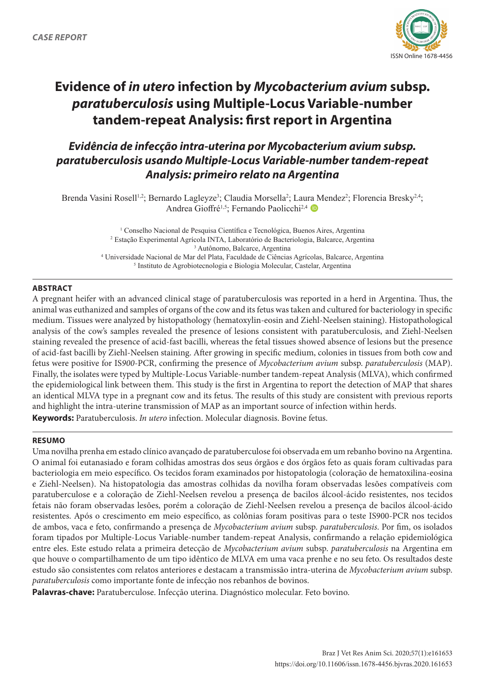

# **Evidence of** *in utero* **infection by** *Mycobacterium avium* **subsp.**  *paratuberculosis* **using Multiple-Locus Variable-number tandem-repeat Analysis: first report in Argentina**

## *Evidência de infecção intra-uterina por Mycobacterium avium subsp. paratuberculosis usando Multiple-Locus Variable-number tandem-repeat Analysis: primeiro relato na Argentina*

Brenda Vasini Rosell<sup>1,2</sup>; Bernardo Lagleyze<sup>3</sup>; Claudia Morsella<sup>2</sup>; Laura Mendez<sup>2</sup>; Florencia Bresky<sup>2,4</sup>; Andrea Gioffré<sup>1,5</sup>; Fernando Paolicchi<sup>2,4</sup> <sup>D</sup>

> <sup>1</sup> Conselho Nacional de Pesquisa Científica e Tecnológica, Buenos Aires, Argentina Estação Experimental Agrícola INTA, Laboratório de Bacteriologia, Balcarce, Argentina Autônomo, Balcarce, Argentina Universidade Nacional de Mar del Plata, Faculdade de Ciências Agrícolas, Balcarce, Argentina Instituto de Agrobiotecnologia e Biologia Molecular, Castelar, Argentina

#### **ABSTRACT**

A pregnant heifer with an advanced clinical stage of paratuberculosis was reported in a herd in Argentina. Thus, the animal was euthanized and samples of organs of the cow and its fetus was taken and cultured for bacteriology in specific medium. Tissues were analyzed by histopathology (hematoxylin-eosin and Ziehl-Neelsen staining). Histopathological analysis of the cow's samples revealed the presence of lesions consistent with paratuberculosis, and Ziehl-Neelsen staining revealed the presence of acid-fast bacilli, whereas the fetal tissues showed absence of lesions but the presence of acid-fast bacilli by Ziehl-Neelsen staining. After growing in specific medium, colonies in tissues from both cow and fetus were positive for IS*900*-PCR, confirming the presence of *Mycobacterium avium* subsp. *paratuberculosis* (MAP). Finally, the isolates were typed by Multiple-Locus Variable-number tandem-repeat Analysis (MLVA), which confirmed the epidemiological link between them. This study is the first in Argentina to report the detection of MAP that shares an identical MLVA type in a pregnant cow and its fetus. The results of this study are consistent with previous reports and highlight the intra-uterine transmission of MAP as an important source of infection within herds. **Keywords:** Paratuberculosis. *In utero* infection. Molecular diagnosis. Bovine fetus.

#### **RESUMO**

Uma novilha prenha em estado clínico avançado de paratuberculose foi observada em um rebanho bovino na Argentina. O animal foi eutanasiado e foram colhidas amostras dos seus órgãos e dos órgãos feto as quais foram cultivadas para bacteriologia em meio específico. Os tecidos foram examinados por histopatologia (coloração de hematoxilina-eosina e Ziehl-Neelsen). Na histopatologia das amostras colhidas da novilha foram observadas lesões compatíveis com paratuberculose e a coloração de Ziehl-Neelsen revelou a presença de bacilos álcool-ácido resistentes, nos tecidos fetais não foram observadas lesões, porém a coloração de Ziehl-Neelsen revelou a presença de bacilos álcool-ácido resistentes. Após o crescimento em meio específico, as colônias foram positivas para o teste IS900-PCR nos tecidos de ambos, vaca e feto, confirmando a presença de *Mycobacterium avium* subsp. *paratuberculosis*. Por fim, os isolados foram tipados por Multiple-Locus Variable-number tandem-repeat Analysis, confirmando a relação epidemiológica entre eles. Este estudo relata a primeira detecção de *Mycobacterium avium* subsp. *paratuberculosis* na Argentina em que houve o compartilhamento de um tipo idêntico de MLVA em uma vaca prenhe e no seu feto. Os resultados deste estudo são consistentes com relatos anteriores e destacam a transmissão intra-uterina de *Mycobacterium avium* subsp. *paratuberculosis* como importante fonte de infecção nos rebanhos de bovinos.

**Palavras-chave:** Paratuberculose. Infecção uterina. Diagnóstico molecular. Feto bovino.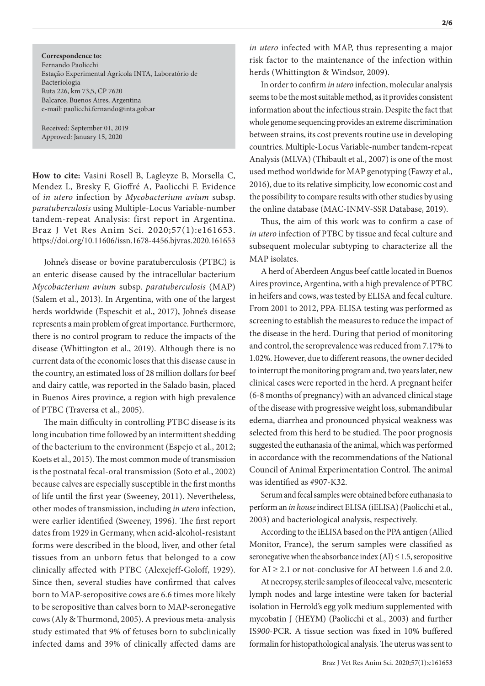**Correspondence to:** Fernando Paolicchi Estação Experimental Agrícola INTA, Laboratório de Bacteriologia Ruta 226, km 73,5, CP 7620 Balcarce, Buenos Aires, Argentina e-mail: paolicchi.fernando@inta.gob.ar

Received: September 01, 2019 Approved: January 15, 2020

**How to cite:** Vasini Rosell B, Lagleyze B, Morsella C, Mendez L, Bresky F, Gioffré A, Paolicchi F. Evidence of *in utero* infection by *Mycobacterium avium* subsp. *paratuberculosis* using Multiple-Locus Variable-number tandem-repeat Analysis: first report in Argentina. Braz J Vet Res Anim Sci. 2020;57(1):e161653. https://doi.org/10.11606/issn.1678-4456.bjvras.2020.161653

Johne's disease or bovine paratuberculosis (PTBC) is an enteric disease caused by the intracellular bacterium *Mycobacterium avium* subsp. *paratuberculosis* (MAP) (Salem et al., 2013). In Argentina, with one of the largest herds worldwide (Espeschit et al., 2017), Johne's disease represents a main problem of great importance. Furthermore, there is no control program to reduce the impacts of the disease (Whittington et al., 2019). Although there is no current data of the economic loses that this disease cause in the country, an estimated loss of 28 million dollars for beef and dairy cattle, was reported in the Salado basin, placed in Buenos Aires province, a region with high prevalence of PTBC (Traversa et al., 2005).

The main difficulty in controlling PTBC disease is its long incubation time followed by an intermittent shedding of the bacterium to the environment (Espejo et al., 2012; Koets et al., 2015). The most common mode of transmission is the postnatal fecal-oral transmission (Soto et al., 2002) because calves are especially susceptible in the first months of life until the first year (Sweeney, 2011). Nevertheless, other modes of transmission, including *in utero* infection, were earlier identified (Sweeney, 1996). The first report dates from 1929 in Germany, when acid-alcohol-resistant forms were described in the blood, liver, and other fetal tissues from an unborn fetus that belonged to a cow clinically affected with PTBC (Alexejeff-Goloff, 1929). Since then, several studies have confirmed that calves born to MAP-seropositive cows are 6.6 times more likely to be seropositive than calves born to MAP-seronegative cows (Aly & Thurmond, 2005). A previous meta-analysis study estimated that 9% of fetuses born to subclinically infected dams and 39% of clinically affected dams are *in utero* infected with MAP, thus representing a major risk factor to the maintenance of the infection within herds (Whittington & Windsor, 2009).

In order to confirm *in utero* infection, molecular analysis seems to be the most suitable method, as it provides consistent information about the infectious strain. Despite the fact that whole genome sequencing provides an extreme discrimination between strains, its cost prevents routine use in developing countries. Multiple-Locus Variable-number tandem-repeat Analysis (MLVA) (Thibault et al., 2007) is one of the most used method worldwide for MAP genotyping (Fawzy et al., 2016), due to its relative simplicity, low economic cost and the possibility to compare results with other studies by using the online database (MAC-INMV-SSR Database, 2019).

Thus, the aim of this work was to confirm a case of *in utero* infection of PTBC by tissue and fecal culture and subsequent molecular subtyping to characterize all the MAP isolates.

A herd of Aberdeen Angus beef cattle located in Buenos Aires province, Argentina, with a high prevalence of PTBC in heifers and cows, was tested by ELISA and fecal culture. From 2001 to 2012, PPA-ELISA testing was performed as screening to establish the measures to reduce the impact of the disease in the herd. During that period of monitoring and control, the seroprevalence was reduced from 7.17% to 1.02%. However, due to different reasons, the owner decided to interrupt the monitoring program and, two years later, new clinical cases were reported in the herd. A pregnant heifer (6-8 months of pregnancy) with an advanced clinical stage of the disease with progressive weight loss, submandibular edema, diarrhea and pronounced physical weakness was selected from this herd to be studied. The poor prognosis suggested the euthanasia of the animal, which was performed in accordance with the recommendations of the National Council of Animal Experimentation Control. The animal was identified as #907-K32.

Serum and fecal samples were obtained before euthanasia to perform an *in house* indirect ELISA (iELISA) (Paolicchi et al., 2003) and bacteriological analysis, respectively.

According to the iELISA based on the PPA antigen (Allied Monitor, France), the serum samples were classified as seronegative when the absorbance index  $(AI) \leq 1.5$ , seropositive for  $AI \geq 2.1$  or not-conclusive for AI between 1.6 and 2.0.

At necropsy, sterile samples of ileocecal valve, mesenteric lymph nodes and large intestine were taken for bacterial isolation in Herrold's egg yolk medium supplemented with mycobatin J (HEYM) (Paolicchi et al., 2003) and further IS*900*-PCR. A tissue section was fixed in 10% buffered formalin for histopathological analysis. The uterus was sent to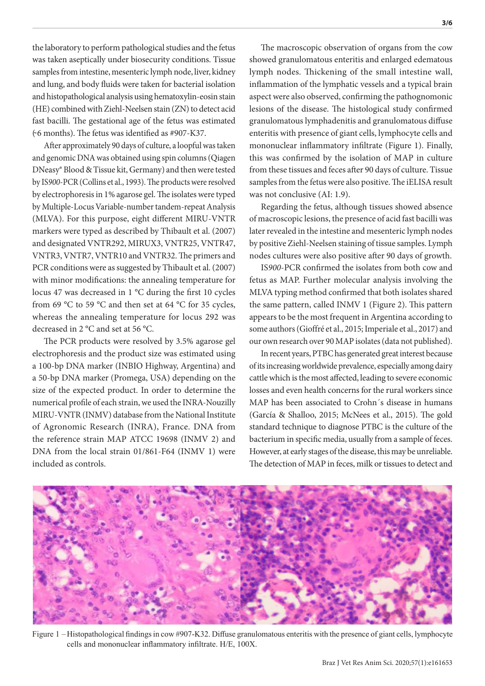the laboratory to perform pathological studies and the fetus was taken aseptically under biosecurity conditions. Tissue samples from intestine, mesenteric lymph node, liver, kidney and lung, and body fluids were taken for bacterial isolation and histopathological analysis using hematoxylin-eosin stain (HE) combined with Ziehl-Neelsen stain (ZN) to detect acid fast bacilli. The gestational age of the fetus was estimated  $(6$  months). The fetus was identified as #907-K37.

After approximately 90 days of culture, a loopful was taken and genomic DNA was obtained using spin columns (Qiagen DNeasy® Blood & Tissue kit, Germany) and then were tested by IS*900*-PCR (Collins et al., 1993). The products were resolved by electrophoresis in 1% agarose gel. The isolates were typed by Multiple-Locus Variable-number tandem-repeat Analysis (MLVA). For this purpose, eight different MIRU-VNTR markers were typed as described by Thibault et al. (2007) and designated VNTR292, MIRUX3, VNTR25, VNTR47, VNTR3, VNTR7, VNTR10 and VNTR32. The primers and PCR conditions were as suggested by Thibault et al. (2007) with minor modifications: the annealing temperature for locus 47 was decreased in 1 °C during the first 10 cycles from 69 °C to 59 °C and then set at 64 °C for 35 cycles, whereas the annealing temperature for locus 292 was decreased in 2 °C and set at 56 °C.

The PCR products were resolved by 3.5% agarose gel electrophoresis and the product size was estimated using a 100-bp DNA marker (INBIO Highway, Argentina) and a 50-bp DNA marker (Promega, USA) depending on the size of the expected product. In order to determine the numerical profile of each strain, we used the INRA-Nouzilly MIRU-VNTR (INMV) database from the National Institute of Agronomic Research (INRA), France. DNA from the reference strain MAP ATCC 19698 (INMV 2) and DNA from the local strain 01/861-F64 (INMV 1) were included as controls.

The macroscopic observation of organs from the cow showed granulomatous enteritis and enlarged edematous lymph nodes. Thickening of the small intestine wall, inflammation of the lymphatic vessels and a typical brain aspect were also observed, confirming the pathognomonic lesions of the disease. The histological study confirmed granulomatous lymphadenitis and granulomatous diffuse enteritis with presence of giant cells, lymphocyte cells and mononuclear inflammatory infiltrate (Figure 1). Finally, this was confirmed by the isolation of MAP in culture from these tissues and feces after 90 days of culture. Tissue samples from the fetus were also positive. The iELISA result was not conclusive (AI: 1.9).

Regarding the fetus, although tissues showed absence of macroscopic lesions, the presence of acid fast bacilli was later revealed in the intestine and mesenteric lymph nodes by positive Ziehl-Neelsen staining of tissue samples. Lymph nodes cultures were also positive after 90 days of growth.

IS*900*-PCR confirmed the isolates from both cow and fetus as MAP. Further molecular analysis involving the MLVA typing method confirmed that both isolates shared the same pattern, called INMV 1 (Figure 2). This pattern appears to be the most frequent in Argentina according to some authors (Gioffré et al., 2015; Imperiale et al., 2017) and our own research over 90 MAP isolates (data not published).

In recent years, PTBC has generated great interest because of its increasing worldwide prevalence, especially among dairy cattle which is the most affected, leading to severe economic losses and even health concerns for the rural workers since MAP has been associated to Crohn´s disease in humans (García & Shalloo, 2015; McNees et al., 2015). The gold standard technique to diagnose PTBC is the culture of the bacterium in specific media, usually from a sample of feces. However, at early stages of the disease, this may be unreliable. The detection of MAP in feces, milk or tissues to detect and



Figure 1 – Histopathological findings in cow #907-K32. Diffuse granulomatous enteritis with the presence of giant cells, lymphocyte cells and mononuclear inflammatory infiltrate. H/E, 100X.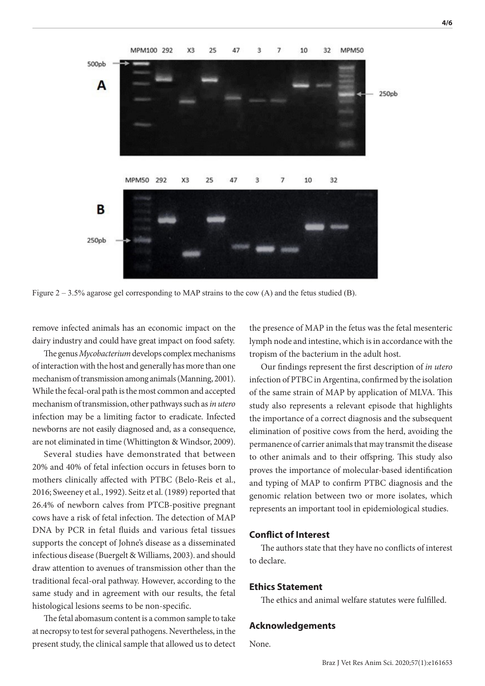

Figure 2 – 3.5% agarose gel corresponding to MAP strains to the cow (A) and the fetus studied (B).

remove infected animals has an economic impact on the dairy industry and could have great impact on food safety.

The genus *Mycobacterium* develops complex mechanisms of interaction with the host and generally has more than one mechanism of transmission among animals (Manning, 2001). While the fecal-oral path is the most common and accepted mechanism of transmission, other pathways such as *in utero* infection may be a limiting factor to eradicate. Infected newborns are not easily diagnosed and, as a consequence, are not eliminated in time (Whittington & Windsor, 2009).

Several studies have demonstrated that between 20% and 40% of fetal infection occurs in fetuses born to mothers clinically affected with PTBC (Belo-Reis et al., 2016; Sweeney et al., 1992). Seitz et al. (1989) reported that 26.4% of newborn calves from PTCB-positive pregnant cows have a risk of fetal infection. The detection of MAP DNA by PCR in fetal fluids and various fetal tissues supports the concept of Johne's disease as a disseminated infectious disease (Buergelt & Williams, 2003). and should draw attention to avenues of transmission other than the traditional fecal-oral pathway. However, according to the same study and in agreement with our results, the fetal histological lesions seems to be non-specific.

The fetal abomasum content is a common sample to take at necropsy to test for several pathogens. Nevertheless, in the present study, the clinical sample that allowed us to detect

the presence of MAP in the fetus was the fetal mesenteric lymph node and intestine, which is in accordance with the tropism of the bacterium in the adult host.

Our findings represent the first description of *in utero* infection of PTBC in Argentina, confirmed by the isolation of the same strain of MAP by application of MLVA. This study also represents a relevant episode that highlights the importance of a correct diagnosis and the subsequent elimination of positive cows from the herd, avoiding the permanence of carrier animals that may transmit the disease to other animals and to their offspring. This study also proves the importance of molecular-based identification and typing of MAP to confirm PTBC diagnosis and the genomic relation between two or more isolates, which represents an important tool in epidemiological studies.

#### **Conflict of Interest**

The authors state that they have no conflicts of interest to declare.

#### **Ethics Statement**

The ethics and animal welfare statutes were fulfilled.

#### **Acknowledgements**

None.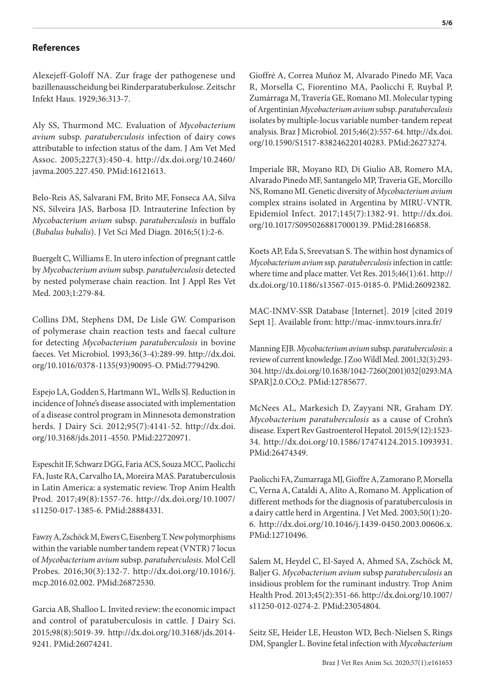### **References**

Alexejeff-Goloff NA. Zur frage der pathogenese und bazillenausscheidung bei Rinderparatuberkulose. Zeitschr Infekt Haus. 1929;36:313-7.

Aly SS, Thurmond MC. Evaluation of *Mycobacterium avium* subsp. *paratuberculosis* infection of dairy cows attributable to infection status of the dam. J Am Vet Med Assoc. 2005;227(3):450-4. [http://dx.doi.org/10.2460/](https://doi.org/10.2460/javma.2005.227.450) [javma.2005.227.450](https://doi.org/10.2460/javma.2005.227.450). [PMid:16121613.](https://www.ncbi.nlm.nih.gov/entrez/query.fcgi?cmd=Retrieve&db=PubMed&list_uids=16121613&dopt=Abstract)

Belo-Reis AS, Salvarani FM, Brito MF, Fonseca AA, Silva NS, Silveira JAS, Barbosa JD. Intrauterine Infection by *Mycobacterium avium* subsp. *paratuberculosis* in buffalo (*Bubalus bubalis*). J Vet Sci Med Diagn. 2016;5(1):2-6.

Buergelt C, Williams E. In utero infection of pregnant cattle by *Mycobacterium avium* subsp. *paratuberculosis* detected by nested polymerase chain reaction. Int J Appl Res Vet Med. 2003;1:279-84.

Collins DM, Stephens DM, De Lisle GW. Comparison of polymerase chain reaction tests and faecal culture for detecting *Mycobacterium paratuberculosis* in bovine faeces. Vet Microbiol. 1993;36(3-4):289-99. [http://dx.doi.](https://doi.org/10.1016/0378-1135(93)90095-O) [org/10.1016/0378-1135\(93\)90095-O](https://doi.org/10.1016/0378-1135(93)90095-O). [PMid:7794290.](https://www.ncbi.nlm.nih.gov/entrez/query.fcgi?cmd=Retrieve&db=PubMed&list_uids=7794290&dopt=Abstract)

Espejo LA, Godden S, Hartmann WL, Wells SJ. Reduction in incidence of Johne's disease associated with implementation of a disease control program in Minnesota demonstration herds. J Dairy Sci. 2012;95(7):4141-52. [http://dx.doi.](https://doi.org/10.3168/jds.2011-4550) [org/10.3168/jds.2011-4550](https://doi.org/10.3168/jds.2011-4550). [PMid:22720971.](https://www.ncbi.nlm.nih.gov/entrez/query.fcgi?cmd=Retrieve&db=PubMed&list_uids=22720971&dopt=Abstract)

Espeschit IF, Schwarz DGG, Faria ACS, Souza MCC, Paolicchi FA, Juste RA, Carvalho IA, Moreira MAS. Paratuberculosis in Latin America: a systematic review. Trop Anim Health Prod. 2017;49(8):1557-76. [http://dx.doi.org/10.1007/](https://doi.org/10.1007/s11250-017-1385-6) [s11250-017-1385-6](https://doi.org/10.1007/s11250-017-1385-6). [PMid:28884331.](https://www.ncbi.nlm.nih.gov/entrez/query.fcgi?cmd=Retrieve&db=PubMed&list_uids=28884331&dopt=Abstract)

Fawzy A, Zschöck M, Ewers C, Eisenberg T. New polymorphisms within the variable number tandem repeat (VNTR) 7 locus of *Mycobacterium avium* subsp. *paratuberculosis.* Mol Cell Probes. 2016;30(3):132-7. [http://dx.doi.org/10.1016/j.](https://doi.org/10.1016/j.mcp.2016.02.002) [mcp.2016.02.002](https://doi.org/10.1016/j.mcp.2016.02.002)[. PMid:26872530.](https://www.ncbi.nlm.nih.gov/entrez/query.fcgi?cmd=Retrieve&db=PubMed&list_uids=26872530&dopt=Abstract)

Garcia AB, Shalloo L. Invited review: the economic impact and control of paratuberculosis in cattle. J Dairy Sci. 2015;98(8):5019-39. [http://dx.doi.org/10.3168/jds.2014-](https://doi.org/10.3168/jds.2014-9241) [9241](https://doi.org/10.3168/jds.2014-9241)[. PMid:26074241.](https://www.ncbi.nlm.nih.gov/entrez/query.fcgi?cmd=Retrieve&db=PubMed&list_uids=26074241&dopt=Abstract)

Gioffré A, Correa Muñoz M, Alvarado Pinedo MF, Vaca R, Morsella C, Fiorentino MA, Paolicchi F, Ruybal P, Zumárraga M, Travería GE, Romano MI. Molecular typing of Argentinian *Mycobacterium avium* subsp. *paratuberculosis* isolates by multiple-locus variable number-tandem repeat analysis. Braz J Microbiol. 2015;46(2):557-64. [http://dx.doi.](https://doi.org/10.1590/S1517-838246220140283) [org/10.1590/S1517-838246220140283.](https://doi.org/10.1590/S1517-838246220140283) [PMid:26273274.](https://www.ncbi.nlm.nih.gov/entrez/query.fcgi?cmd=Retrieve&db=PubMed&list_uids=26273274&dopt=Abstract)

Imperiale BR, Moyano RD, Di Giulio AB, Romero MA, Alvarado Pinedo MF, Santangelo MP, Traveria GE, Morcillo NS, Romano MI. Genetic diversity of *Mycobacterium avium* complex strains isolated in Argentina by MIRU-VNTR. Epidemiol Infect. 2017;145(7):1382-91. [http://dx.doi.](https://doi.org/10.1017/S0950268817000139) [org/10.1017/S0950268817000139](https://doi.org/10.1017/S0950268817000139)[. PMid:28166858.](https://www.ncbi.nlm.nih.gov/entrez/query.fcgi?cmd=Retrieve&db=PubMed&list_uids=28166858&dopt=Abstract)

Koets AP, Eda S, Sreevatsan S. The within host dynamics of *Mycobacterium avium* ssp. *paratuberculosis* infection in cattle: where time and place matter. Vet Res. 2015;46(1):61. [http://](https://doi.org/10.1186/s13567-015-0185-0) [dx.doi.org/10.1186/s13567-015-0185-0](https://doi.org/10.1186/s13567-015-0185-0)[. PMid:26092382.](https://www.ncbi.nlm.nih.gov/entrez/query.fcgi?cmd=Retrieve&db=PubMed&list_uids=26092382&dopt=Abstract)

MAC-INMV-SSR Database [Internet]. 2019 [cited 2019 Sept 1]. Available from: http://mac-inmv.tours.inra.fr/

Manning EJB. *Mycobacterium avium* subsp. *paratuberculosis*: a review of current knowledge. J Zoo Wildl Med. 2001;32(3):293- 304. [http://dx.doi.org/10.1638/1042-7260\(2001\)032\[0293:MA](https://doi.org/10.1638/1042-7260(2001)032%5b0293:MASPAR%5d2.0.CO;2) [SPAR\]2.0.CO;2.](https://doi.org/10.1638/1042-7260(2001)032%5b0293:MASPAR%5d2.0.CO;2) [PMid:12785677.](https://www.ncbi.nlm.nih.gov/entrez/query.fcgi?cmd=Retrieve&db=PubMed&list_uids=12785677&dopt=Abstract)

McNees AL, Markesich D, Zayyani NR, Graham DY. *Mycobacterium paratuberculosis* as a cause of Crohn's disease. Expert Rev Gastroenterol Hepatol. 2015;9(12):1523- 34. [http://dx.doi.org/10.1586/17474124.2015.1093931](https://doi.org/10.1586/17474124.2015.1093931). [PMid:26474349.](https://www.ncbi.nlm.nih.gov/entrez/query.fcgi?cmd=Retrieve&db=PubMed&list_uids=26474349&dopt=Abstract)

Paolicchi FA, Zumarraga MJ, Gioffre A, Zamorano P, Morsella C, Verna A, Cataldi A, Alito A, Romano M. Application of different methods for the diagnosis of paratuberculosis in a dairy cattle herd in Argentina. J Vet Med. 2003;50(1):20- 6. [http://dx.doi.org/10.1046/j.1439-0450.2003.00606.x](https://doi.org/10.1046/j.1439-0450.2003.00606.x). [PMid:12710496.](https://www.ncbi.nlm.nih.gov/entrez/query.fcgi?cmd=Retrieve&db=PubMed&list_uids=12710496&dopt=Abstract)

Salem M, Heydel C, El-Sayed A, Ahmed SA, Zschöck M, Baljer G. *Mycobacterium avium* subsp *paratuberculosis* an insidious problem for the ruminant industry. Trop Anim Health Prod. 2013;45(2):351-66. [http://dx.doi.org/10.1007/](https://doi.org/10.1007/s11250-012-0274-2) [s11250-012-0274-2.](https://doi.org/10.1007/s11250-012-0274-2) [PMid:23054804.](https://www.ncbi.nlm.nih.gov/entrez/query.fcgi?cmd=Retrieve&db=PubMed&list_uids=23054804&dopt=Abstract)

Seitz SE, Heider LE, Heuston WD, Bech-Nielsen S, Rings DM, Spangler L. Bovine fetal infection with *Mycobacterium*